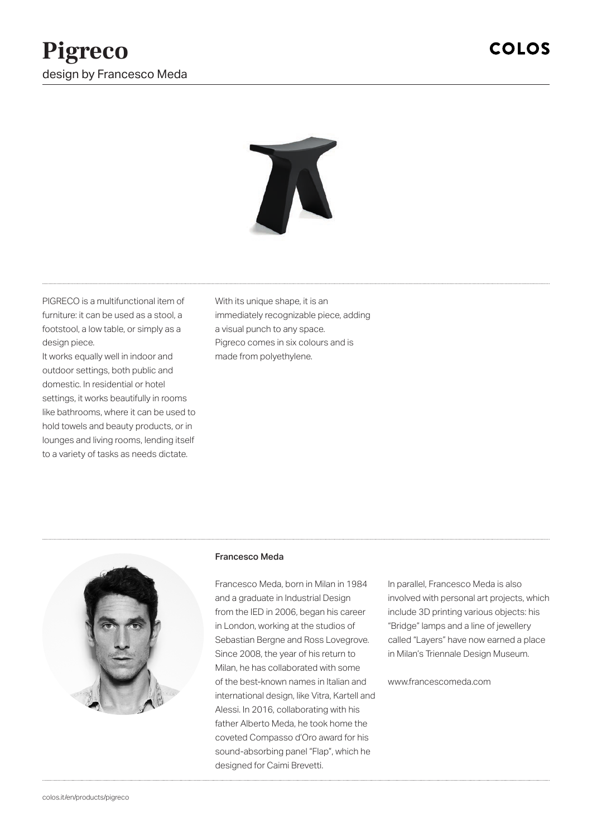

PIGRECO is a multifunctional item of furniture: it can be used as a stool, a footstool, a low table, or simply as a design piece.

It works equally well in indoor and outdoor settings, both public and domestic. In residential or hotel settings, it works beautifully in rooms like bathrooms, where it can be used to hold towels and beauty products, or in lounges and living rooms, lending itself to a variety of tasks as needs dictate.

With its unique shape, it is an immediately recognizable piece, adding a visual punch to any space. Pigreco comes in six colours and is made from polyethylene.



### Francesco Meda

Francesco Meda, born in Milan in 1984 and a graduate in Industrial Design from the IED in 2006, began his career in London, working at the studios of Sebastian Bergne and Ross Lovegrove. Since 2008, the year of his return to Milan, he has collaborated with some of the best-known names in Italian and international design, like Vitra, Kartell and Alessi. In 2016, collaborating with his father Alberto Meda, he took home the coveted Compasso d'Oro award for his sound-absorbing panel "Flap", which he designed for Caimi Brevetti.

In parallel, Francesco Meda is also involved with personal art projects, which include 3D printing various objects: his "Bridge" lamps and a line of jewellery called "Layers" have now earned a place in Milan's Triennale Design Museum.

www.francescomeda.com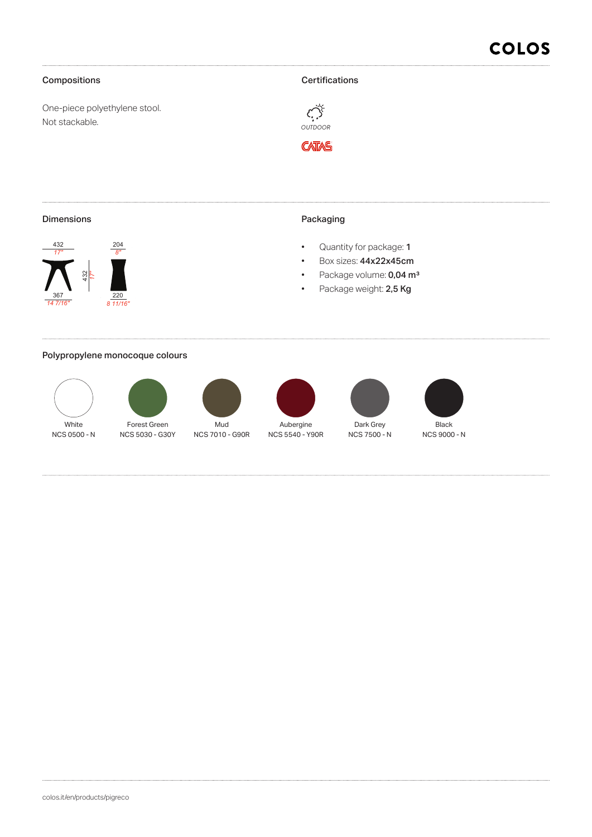## Compositions

One-piece polyethylene stool. Not stackable.

### **Certifications**



# Dimensions

432

*17"*

*14 7/16"*

367

*17"* 432



- Quantity for package: 1
- Box sizes: 44x22x45cm
- Package volume: 0,04 m<sup>3</sup>
- Package weight: 2,5 Kg

## Polypropylene monocoque colours

220 *8 11/16"*

*8"* 204





NCS 5030 - G30Y



Mud

Aubergine NCS 5540 - Y90R